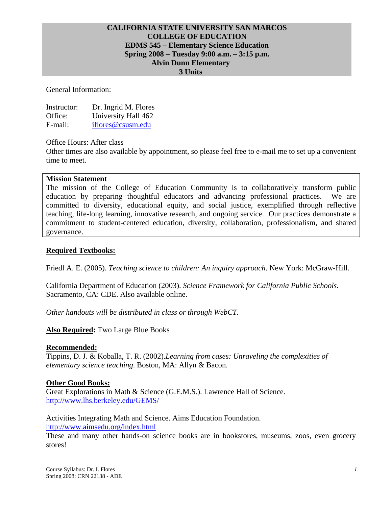### **CALIFORNIA STATE UNIVERSITY SAN MARCOS COLLEGE OF EDUCATION EDMS 545 – Elementary Science Education Spring 2008 – Tuesday 9:00 a.m. – 3:15 p.m. Alvin Dunn Elementary 3 Units**

General Information:

| Instructor: | Dr. Ingrid M. Flores |
|-------------|----------------------|
| Office:     | University Hall 462  |
| E-mail:     | iflores@csusm.edu    |

Office Hours: After class

Other times are also available by appointment, so please feel free to e-mail me to set up a convenient time to meet.

#### **Mission Statement**

The mission of the College of Education Community is to collaboratively transform public education by preparing thoughtful educators and advancing professional practices. We are committed to diversity, educational equity, and social justice, exemplified through reflective teaching, life-long learning, innovative research, and ongoing service. Our practices demonstrate a commitment to student-centered education, diversity, collaboration, professionalism, and shared governance.

### **Required Textbooks:**

Friedl A. E. (2005). *Teaching science to children: An inquiry approach*. New York: McGraw-Hill.

California Department of Education (2003). *Science Framework for California Public Schools.* Sacramento, CA: CDE. Also available online.

*Other handouts will be distributed in class or through WebCT.* 

#### **Also Required:** Two Large Blue Books

#### **Recommended:**

Tippins, D. J. & Koballa, T. R. (2002).*Learning from cases: Unraveling the complexities of elementary science teaching*. Boston, MA: Allyn & Bacon.

#### **Other Good Books:**

Great Explorations in Math & Science (G.E.M.S.). Lawrence Hall of Science. http://www.lhs.berkeley.edu/GEMS/

Activities Integrating Math and Science. Aims Education Foundation. http://www.aimsedu.org/index.html

These and many other hands-on science books are in bookstores, museums, zoos, even grocery stores!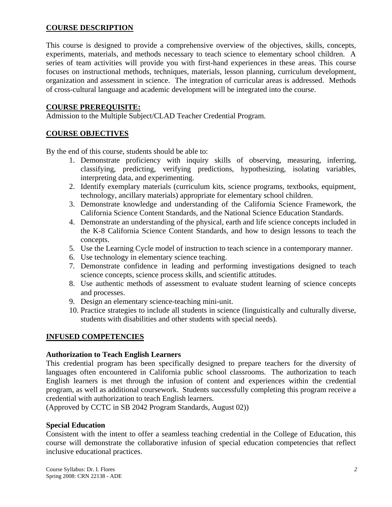## **COURSE DESCRIPTION**

This course is designed to provide a comprehensive overview of the objectives, skills, concepts, experiments, materials, and methods necessary to teach science to elementary school children. A series of team activities will provide you with first-hand experiences in these areas. This course focuses on instructional methods, techniques, materials, lesson planning, curriculum development, organization and assessment in science. The integration of curricular areas is addressed. Methods of cross-cultural language and academic development will be integrated into the course.

### **COURSE PREREQUISITE:**

Admission to the Multiple Subject/CLAD Teacher Credential Program.

## **COURSE OBJECTIVES**

By the end of this course, students should be able to:

- 1. Demonstrate proficiency with inquiry skills of observing, measuring, inferring, classifying, predicting, verifying predictions, hypothesizing, isolating variables, interpreting data, and experimenting.
- 2. Identify exemplary materials (curriculum kits, science programs, textbooks, equipment, technology, ancillary materials) appropriate for elementary school children.
- 3. Demonstrate knowledge and understanding of the California Science Framework, the California Science Content Standards, and the National Science Education Standards.
- 4. Demonstrate an understanding of the physical, earth and life science concepts included in the K-8 California Science Content Standards, and how to design lessons to teach the concepts.
- 5. Use the Learning Cycle model of instruction to teach science in a contemporary manner.
- 6. Use technology in elementary science teaching.
- 7. Demonstrate confidence in leading and performing investigations designed to teach science concepts, science process skills, and scientific attitudes.
- 8. Use authentic methods of assessment to evaluate student learning of science concepts and processes.
- 9. Design an elementary science-teaching mini-unit.
- 10. Practice strategies to include all students in science (linguistically and culturally diverse, students with disabilities and other students with special needs).

#### **INFUSED COMPETENCIES**

#### **Authorization to Teach English Learners**

This credential program has been specifically designed to prepare teachers for the diversity of languages often encountered in California public school classrooms. The authorization to teach English learners is met through the infusion of content and experiences within the credential program, as well as additional coursework. Students successfully completing this program receive a credential with authorization to teach English learners.

(Approved by CCTC in SB 2042 Program Standards, August 02))

#### **Special Education**

Consistent with the intent to offer a seamless teaching credential in the College of Education, this course will demonstrate the collaborative infusion of special education competencies that reflect inclusive educational practices.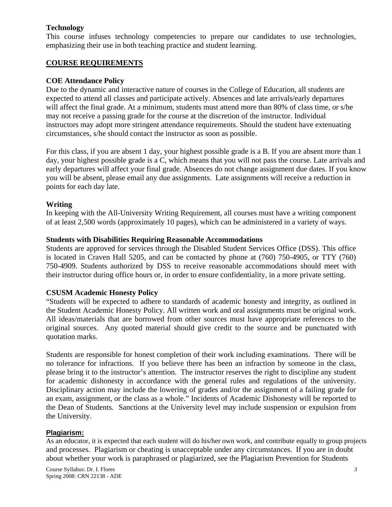### **Technology**

This course infuses technology competencies to prepare our candidates to use technologies, emphasizing their use in both teaching practice and student learning.

### **COURSE REQUIREMENTS**

#### **COE Attendance Policy**

Due to the dynamic and interactive nature of courses in the College of Education, all students are expected to attend all classes and participate actively. Absences and late arrivals/early departures will affect the final grade. At a minimum, students must attend more than 80% of class time, or s/he may not receive a passing grade for the course at the discretion of the instructor. Individual instructors may adopt more stringent attendance requirements. Should the student have extenuating circumstances, s/he should contact the instructor as soon as possible.

For this class, if you are absent 1 day, your highest possible grade is a B. If you are absent more than 1 day, your highest possible grade is a C, which means that you will not pass the course. Late arrivals and early departures will affect your final grade. Absences do not change assignment due dates. If you know you will be absent, please email any due assignments. Late assignments will receive a reduction in points for each day late.

### **Writing**

In keeping with the All-University Writing Requirement, all courses must have a writing component of at least 2,500 words (approximately 10 pages), which can be administered in a variety of ways.

#### **Students with Disabilities Requiring Reasonable Accommodations**

Students are approved for services through the Disabled Student Services Office (DSS). This office is located in Craven Hall 5205, and can be contacted by phone at (760) 750-4905, or TTY (760) 750-4909. Students authorized by DSS to receive reasonable accommodations should meet with their instructor during office hours or, in order to ensure confidentiality, in a more private setting.

#### **CSUSM Academic Honesty Policy**

"Students will be expected to adhere to standards of academic honesty and integrity, as outlined in the Student Academic Honesty Policy. All written work and oral assignments must be original work. All ideas/materials that are borrowed from other sources must have appropriate references to the original sources. Any quoted material should give credit to the source and be punctuated with quotation marks.

Students are responsible for honest completion of their work including examinations. There will be no tolerance for infractions. If you believe there has been an infraction by someone in the class, please bring it to the instructor's attention. The instructor reserves the right to discipline any student for academic dishonesty in accordance with the general rules and regulations of the university. Disciplinary action may include the lowering of grades and/or the assignment of a failing grade for an exam, assignment, or the class as a whole." Incidents of Academic Dishonesty will be reported to the Dean of Students. Sanctions at the University level may include suspension or expulsion from the University.

#### **Plagiarism:**

As an educator, it is expected that each student will do his/her own work, and contribute equally to group projects and processes. Plagiarism or cheating is unacceptable under any circumstances. If you are in doubt about whether your work is paraphrased or plagiarized, see the Plagiarism Prevention for Students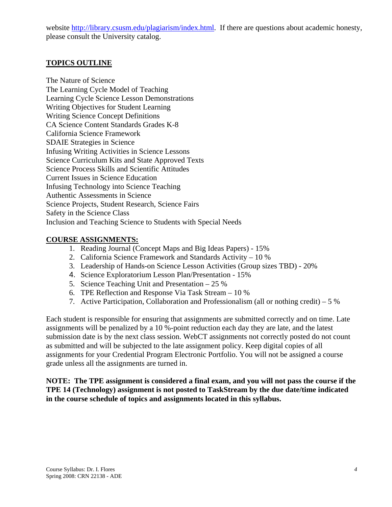website http://library.csusm.edu/plagiarism/index.html. If there are questions about academic honesty, please consult the University catalog.

## **TOPICS OUTLINE**

The Nature of Science The Learning Cycle Model of Teaching Learning Cycle Science Lesson Demonstrations Writing Objectives for Student Learning Writing Science Concept Definitions CA Science Content Standards Grades K-8 California Science Framework SDAIE Strategies in Science Infusing Writing Activities in Science Lessons Science Curriculum Kits and State Approved Texts Science Process Skills and Scientific Attitudes Current Issues in Science Education Infusing Technology into Science Teaching Authentic Assessments in Science Science Projects, Student Research, Science Fairs Safety in the Science Class Inclusion and Teaching Science to Students with Special Needs

## **COURSE ASSIGNMENTS:**

- 1. Reading Journal (Concept Maps and Big Ideas Papers) 15%
- 2. California Science Framework and Standards Activity 10 %
- 3. Leadership of Hands-on Science Lesson Activities (Group sizes TBD) 20%
- 4. Science Exploratorium Lesson Plan/Presentation 15%
- 5. Science Teaching Unit and Presentation 25 %
- 6. TPE Reflection and Response Via Task Stream 10 %
- 7. Active Participation, Collaboration and Professionalism (all or nothing credit) 5 %

Each student is responsible for ensuring that assignments are submitted correctly and on time. Late assignments will be penalized by a 10 %-point reduction each day they are late, and the latest submission date is by the next class session. WebCT assignments not correctly posted do not count as submitted and will be subjected to the late assignment policy. Keep digital copies of all assignments for your Credential Program Electronic Portfolio. You will not be assigned a course grade unless all the assignments are turned in.

**NOTE: The TPE assignment is considered a final exam, and you will not pass the course if the TPE 14 (Technology) assignment is not posted to TaskStream by the due date/time indicated in the course schedule of topics and assignments located in this syllabus.**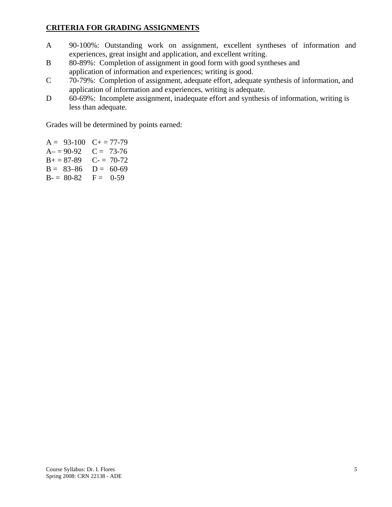## **CRITERIA FOR GRADING ASSIGNMENTS**

- A 90-100%: Outstanding work on assignment, excellent syntheses of information and experiences, great insight and application, and excellent writing.
- B 80-89%: Completion of assignment in good form with good syntheses and application of information and experiences; writing is good.
- C 70-79%: Completion of assignment, adequate effort, adequate synthesis of information, and application of information and experiences, writing is adequate.
- D 60-69%: Incomplete assignment, inadequate effort and synthesis of information, writing is less than adequate.

Grades will be determined by points earned:

 $A = 93-100$   $C + 77-79$  $A = 90-92$   $C = 73-76$  $B+=87-89$  C- = 70-72  $B = 83-86$   $D = 60-69$  $B = 80-82$   $F = 0-59$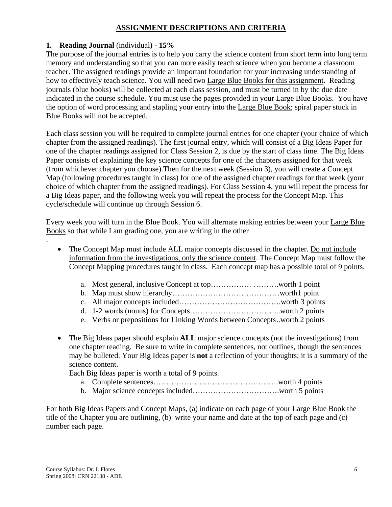## **ASSIGNMENT DESCRIPTIONS AND CRITERIA**

## **1. Reading Journal** (individual**) - 15%**

The purpose of the journal entries is to help you carry the science content from short term into long term memory and understanding so that you can more easily teach science when you become a classroom teacher. The assigned readings provide an important foundation for your increasing understanding of how to effectively teach science. You will need two Large Blue Books for this assignment. Reading journals (blue books) will be collected at each class session, and must be turned in by the due date indicated in the course schedule. You must use the pages provided in your Large Blue Books. You have the option of word processing and stapling your entry into the Large Blue Book; spiral paper stuck in Blue Books will not be accepted.

Each class session you will be required to complete journal entries for one chapter (your choice of which chapter from the assigned readings). The first journal entry, which will consist of a Big Ideas Paper for one of the chapter readings assigned for Class Session 2, is due by the start of class time. The Big Ideas Paper consists of explaining the key science concepts for one of the chapters assigned for that week (from whichever chapter you choose).Then for the next week (Session 3), you will create a Concept Map (following procedures taught in class) for one of the assigned chapter readings for that week (your choice of which chapter from the assigned readings). For Class Session 4, you will repeat the process for a Big Ideas paper, and the following week you will repeat the process for the Concept Map. This cycle/schedule will continue up through Session 6.

Every week you will turn in the Blue Book. You will alternate making entries between your Large Blue Books so that while I am grading one, you are writing in the other

- The Concept Map must include ALL major concepts discussed in the chapter. Do not include information from the investigations, only the science content. The Concept Map must follow the Concept Mapping procedures taught in class. Each concept map has a possible total of 9 points.
	- a. Most general, inclusive Concept at top……………. ……….worth 1 point
	- b. Map must show hierarchy……………………………………worth1 point
	- c. All major concepts included………………………………….worth 3 points
	- d. 1-2 words (nouns) for Concepts……………………………...worth 2 points
	- e. Verbs or prepositions for Linking Words between Concepts ..worth 2 points
- The Big Ideas paper should explain **ALL** major science concepts (not the investigations) from one chapter reading. Be sure to write in complete sentences, not outlines, though the sentences may be bulleted. Your Big Ideas paper is **not** a reflection of your thoughts; it is a summary of the science content.

Each Big Ideas paper is worth a total of 9 points.

- a. Complete sentences………………………………………….worth 4 points
- b. Major science concepts included…………………………….worth 5 points

For both Big Ideas Papers and Concept Maps, (a) indicate on each page of your Large Blue Book the title of the Chapter you are outlining, (b) write your name and date at the top of each page and (c) number each page.

.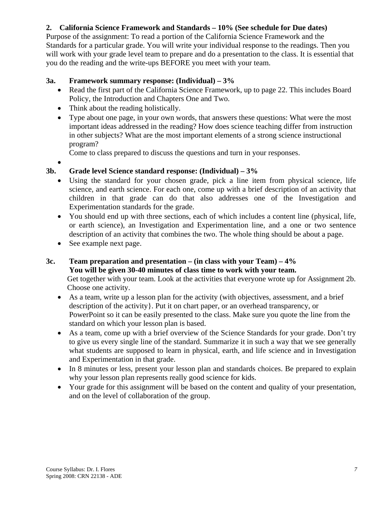# **2. California Science Framework and Standards – 10% (See schedule for Due dates)**

Purpose of the assignment: To read a portion of the California Science Framework and the Standards for a particular grade. You will write your individual response to the readings. Then you will work with your grade level team to prepare and do a presentation to the class. It is essential that you do the reading and the write-ups BEFORE you meet with your team.

## **3a. Framework summary response: (Individual) – 3%**

- Read the first part of the California Science Framework, up to page 22. This includes Board Policy, the Introduction and Chapters One and Two.
- Think about the reading holistically.
- Type about one page, in your own words, that answers these questions: What were the most important ideas addressed in the reading? How does science teaching differ from instruction in other subjects? What are the most important elements of a strong science instructional program?

Come to class prepared to discuss the questions and turn in your responses.

•

# **3b. Grade level Science standard response: (Individual) – 3%**

- Using the standard for your chosen grade, pick a line item from physical science, life science, and earth science. For each one, come up with a brief description of an activity that children in that grade can do that also addresses one of the Investigation and Experimentation standards for the grade.
- You should end up with three sections, each of which includes a content line (physical, life, or earth science), an Investigation and Experimentation line, and a one or two sentence description of an activity that combines the two. The whole thing should be about a page.
- See example next page.

## **3c. Team preparation and presentation – (in class with your Team) – 4% You will be given 30-40 minutes of class time to work with your team.**  Get together with your team. Look at the activities that everyone wrote up for Assignment 2b. Choose one activity.

- As a team, write up a lesson plan for the activity (with objectives, assessment, and a brief description of the activity}. Put it on chart paper, or an overhead transparency, or PowerPoint so it can be easily presented to the class. Make sure you quote the line from the standard on which your lesson plan is based.
- As a team, come up with a brief overview of the Science Standards for your grade. Don't try to give us every single line of the standard. Summarize it in such a way that we see generally what students are supposed to learn in physical, earth, and life science and in Investigation and Experimentation in that grade.
- In 8 minutes or less, present your lesson plan and standards choices. Be prepared to explain why your lesson plan represents really good science for kids.
- Your grade for this assignment will be based on the content and quality of your presentation, and on the level of collaboration of the group.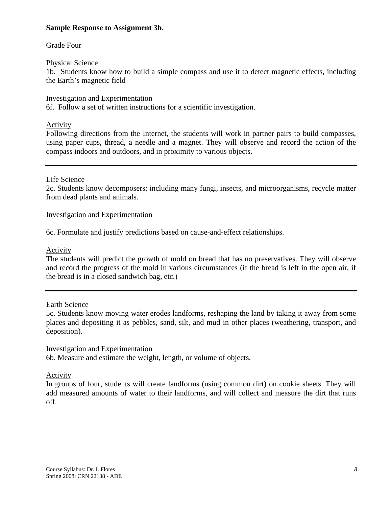### **Sample Response to Assignment 3b**.

### Grade Four

### Physical Science

1b. Students know how to build a simple compass and use it to detect magnetic effects, including the Earth's magnetic field

Investigation and Experimentation 6f. Follow a set of written instructions for a scientific investigation.

### Activity

Following directions from the Internet, the students will work in partner pairs to build compasses, using paper cups, thread, a needle and a magnet. They will observe and record the action of the compass indoors and outdoors, and in proximity to various objects.

### Life Science

2c. Students know decomposers; including many fungi, insects, and microorganisms, recycle matter from dead plants and animals.

Investigation and Experimentation

6c. Formulate and justify predictions based on cause-and-effect relationships.

### Activity

The students will predict the growth of mold on bread that has no preservatives. They will observe and record the progress of the mold in various circumstances (if the bread is left in the open air, if the bread is in a closed sandwich bag, etc.)

Earth Science

5c. Students know moving water erodes landforms, reshaping the land by taking it away from some places and depositing it as pebbles, sand, silt, and mud in other places (weathering, transport, and deposition).

Investigation and Experimentation

6b. Measure and estimate the weight, length, or volume of objects.

#### **Activity**

In groups of four, students will create landforms (using common dirt) on cookie sheets. They will add measured amounts of water to their landforms, and will collect and measure the dirt that runs off.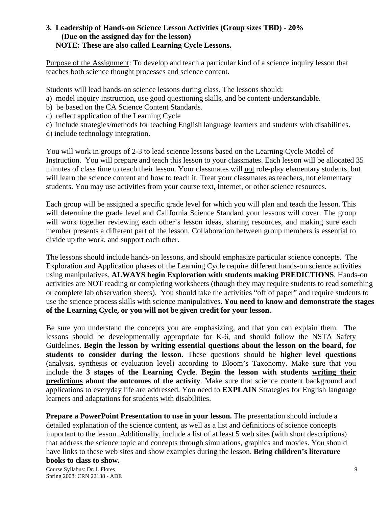### **3.****Leadership of Hands-on Science Lesson Activities (Group sizes TBD) - 20% (Due on the assigned day for the lesson) NOTE: These are also called Learning Cycle Lessons.**

Purpose of the Assignment: To develop and teach a particular kind of a science inquiry lesson that teaches both science thought processes and science content.

Students will lead hands-on science lessons during class. The lessons should:

- a) model inquiry instruction, use good questioning skills, and be content-understandable.
- b) be based on the CA Science Content Standards.
- c) reflect application of the Learning Cycle
- c) include strategies/methods for teaching English language learners and students with disabilities.
- d) include technology integration.

You will work in groups of 2-3 to lead science lessons based on the Learning Cycle Model of Instruction. You will prepare and teach this lesson to your classmates. Each lesson will be allocated 35 minutes of class time to teach their lesson. Your classmates will not role-play elementary students, but will learn the science content and how to teach it. Treat your classmates as teachers, not elementary students. You may use activities from your course text, Internet, or other science resources.

Each group will be assigned a specific grade level for which you will plan and teach the lesson. This will determine the grade level and California Science Standard your lessons will cover. The group will work together reviewing each other's lesson ideas, sharing resources, and making sure each member presents a different part of the lesson. Collaboration between group members is essential to divide up the work, and support each other.

The lessons should include hands-on lessons, and should emphasize particular science concepts. The Exploration and Application phases of the Learning Cycle require different hands-on science activities using manipulatives. **ALWAYS begin Exploration with students making PREDICTIONS**. Hands-on activities are NOT reading or completing worksheets (though they may require students to read something or complete lab observation sheets). You should take the activities "off of paper" and require students to use the science process skills with science manipulatives. **You need to know and demonstrate the stages of the Learning Cycle, or you will not be given credit for your lesson.**

Be sure you understand the concepts you are emphasizing, and that you can explain them. The lessons should be developmentally appropriate for K-6, and should follow the NSTA Safety Guidelines. **Begin the lesson by writing essential questions about the lesson on the board, for students to consider during the lesson.** These questions should be **higher level questions** (analysis, synthesis or evaluation level) according to Bloom's Taxonomy. Make sure that you include the **3 stages of the Learning Cycle**. **Begin the lesson with students writing their predictions about the outcomes of the activity**. Make sure that science content background and applications to everyday life are addressed. You need to **EXPLAIN** Strategies for English language learners and adaptations for students with disabilities.

**Prepare a PowerPoint Presentation to use in your lesson.** The presentation should include a detailed explanation of the science content, as well as a list and definitions of science concepts important to the lesson. Additionally, include a list of at least 5 web sites (with short descriptions) that address the science topic and concepts through simulations, graphics and movies. You should have links to these web sites and show examples during the lesson. **Bring children's literature books to class to show.**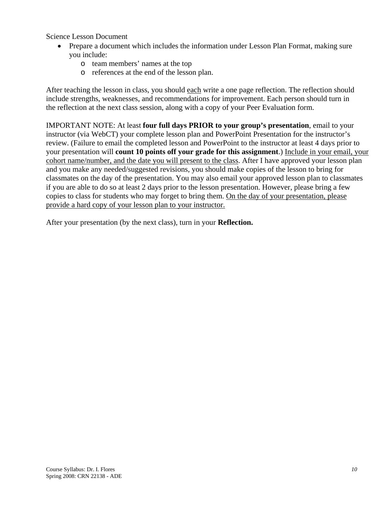Science Lesson Document

- Prepare a document which includes the information under Lesson Plan Format, making sure you include:
	- o team members' names at the top
	- o references at the end of the lesson plan.

After teaching the lesson in class, you should each write a one page reflection. The reflection should include strengths, weaknesses, and recommendations for improvement. Each person should turn in the reflection at the next class session, along with a copy of your Peer Evaluation form.

IMPORTANT NOTE: At least **four full days PRIOR to your group's presentation**, email to your instructor (via WebCT) your complete lesson plan and PowerPoint Presentation for the instructor's review. (Failure to email the completed lesson and PowerPoint to the instructor at least 4 days prior to your presentation will **count 10 points off your grade for this assignment**.) Include in your email, your cohort name/number, and the date you will present to the class. After I have approved your lesson plan and you make any needed/suggested revisions, you should make copies of the lesson to bring for classmates on the day of the presentation. You may also email your approved lesson plan to classmates if you are able to do so at least 2 days prior to the lesson presentation. However, please bring a few copies to class for students who may forget to bring them. On the day of your presentation, please provide a hard copy of your lesson plan to your instructor.

After your presentation (by the next class), turn in your **Reflection.**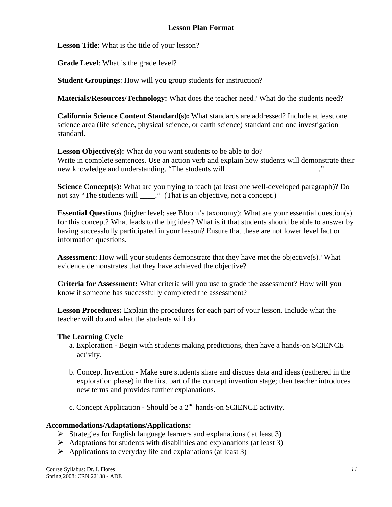## **Lesson Plan Format**

**Lesson Title**: What is the title of your lesson?

**Grade Level**: What is the grade level?

**Student Groupings**: How will you group students for instruction?

**Materials/Resources/Technology:** What does the teacher need? What do the students need?

**California Science Content Standard(s):** What standards are addressed? Include at least one science area (life science, physical science, or earth science) standard and one investigation standard.

**Lesson Objective(s):** What do you want students to be able to do? Write in complete sentences. Use an action verb and explain how students will demonstrate their new knowledge and understanding. "The students will \_\_\_\_\_\_\_\_\_\_\_\_\_\_\_\_\_\_\_\_\_\_\_..."

**Science Concept(s):** What are you trying to teach (at least one well-developed paragraph)? Do not say "The students will \_\_\_\_." (That is an objective, not a concept.)

**Essential Questions** (higher level; see Bloom's taxonomy): What are your essential question(s) for this concept? What leads to the big idea? What is it that students should be able to answer by having successfully participated in your lesson? Ensure that these are not lower level fact or information questions.

**Assessment**: How will your students demonstrate that they have met the objective(s)? What evidence demonstrates that they have achieved the objective?

**Criteria for Assessment:** What criteria will you use to grade the assessment? How will you know if someone has successfully completed the assessment?

**Lesson Procedures:** Explain the procedures for each part of your lesson. Include what the teacher will do and what the students will do.

#### **The Learning Cycle**

- a. Exploration Begin with students making predictions, then have a hands-on SCIENCE activity.
- b. Concept Invention Make sure students share and discuss data and ideas (gathered in the exploration phase) in the first part of the concept invention stage; then teacher introduces new terms and provides further explanations.
- c. Concept Application Should be a  $2<sup>nd</sup>$  hands-on SCIENCE activity.

#### **Accommodations/Adaptations/Applications:**

- $\triangleright$  Strategies for English language learners and explanations (at least 3)
- $\triangleright$  Adaptations for students with disabilities and explanations (at least 3)
- $\triangleright$  Applications to everyday life and explanations (at least 3)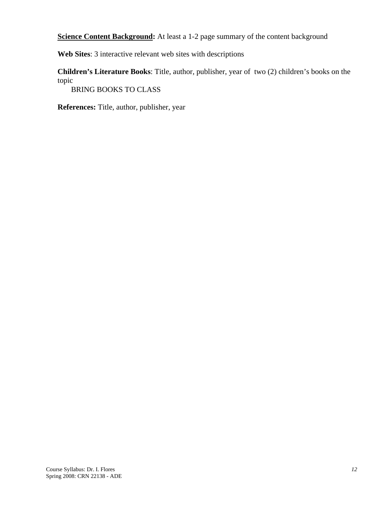**Science Content Background:** At least a 1-2 page summary of the content background

**Web Sites**: 3 interactive relevant web sites with descriptions

**Children's Literature Books**: Title, author, publisher, year of two (2) children's books on the topic

BRING BOOKS TO CLASS

**References:** Title, author, publisher, year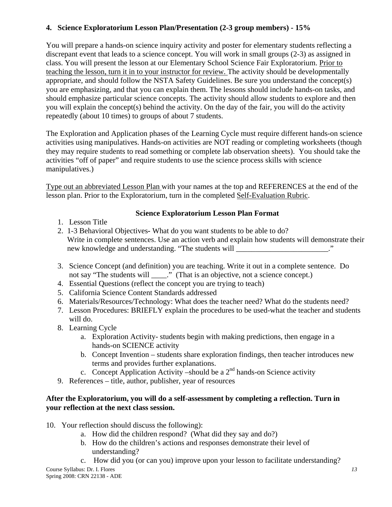# **4. Science Exploratorium Lesson Plan/Presentation (2-3 group members) - 15%**

You will prepare a hands-on science inquiry activity and poster for elementary students reflecting a discrepant event that leads to a science concept. You will work in small groups (2-3) as assigned in class. You will present the lesson at our Elementary School Science Fair Exploratorium. Prior to teaching the lesson, turn it in to your instructor for review. The activity should be developmentally appropriate, and should follow the NSTA Safety Guidelines. Be sure you understand the concept(s) you are emphasizing, and that you can explain them. The lessons should include hands-on tasks, and should emphasize particular science concepts. The activity should allow students to explore and then you will explain the concept(s) behind the activity. On the day of the fair, you will do the activity repeatedly (about 10 times) to groups of about 7 students.

The Exploration and Application phases of the Learning Cycle must require different hands-on science activities using manipulatives. Hands-on activities are NOT reading or completing worksheets (though they may require students to read something or complete lab observation sheets). You should take the activities "off of paper" and require students to use the science process skills with science manipulatives.)

Type out an abbreviated Lesson Plan with your names at the top and REFERENCES at the end of the lesson plan. Prior to the Exploratorium, turn in the completed Self-Evaluation Rubric.

# **Science Exploratorium Lesson Plan Format**

- 1. Lesson Title
- 2. 1-3 Behavioral ObjectivesWhat do you want students to be able to do? Write in complete sentences. Use an action verb and explain how students will demonstrate their new knowledge and understanding. "The students will \_\_\_\_\_\_\_\_\_\_\_\_\_\_\_\_\_\_\_\_\_\_."
- 3. Science Concept (and definition) you are teaching. Write it out in a complete sentence. Do not say "The students will \_\_\_\_." (That is an objective, not a science concept.)
- 4. Essential Questions (reflect the concept you are trying to teach)
- 5. California Science Content Standards addressed
- 6. Materials/Resources/Technology: What does the teacher need? What do the students need?
- 7. Lesson Procedures: BRIEFLY explain the procedures to be used-what the teacher and students will do.
- 8. Learning Cycle
	- a. Exploration Activity- students begin with making predictions, then engage in a hands-on SCIENCE activity
	- b. Concept Invention students share exploration findings, then teacher introduces new terms and provides further explanations.
	- c. Concept Application Activity –should be a  $2<sup>nd</sup>$  hands-on Science activity
- 9. References title, author, publisher, year of resources

## **After the Exploratorium, you will do a self-assessment by completing a reflection. Turn in your reflection at the next class session.**

- 10. Your reflection should discuss the following):
	- a. How did the children respond? (What did they say and do?)
	- b. How do the children's actions and responses demonstrate their level of understanding?
	- c. How did you (or can you) improve upon your lesson to facilitate understanding?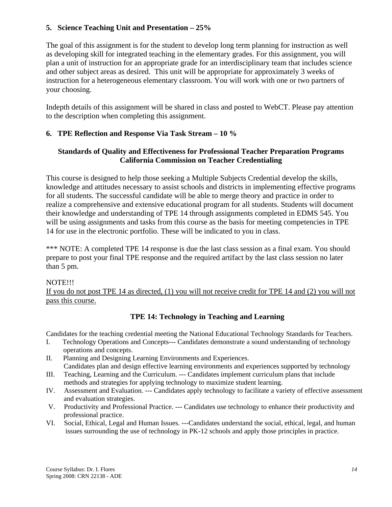## **5. Science Teaching Unit and Presentation – 25%**

The goal of this assignment is for the student to develop long term planning for instruction as well as developing skill for integrated teaching in the elementary grades. For this assignment, you will plan a unit of instruction for an appropriate grade for an interdisciplinary team that includes science and other subject areas as desired. This unit will be appropriate for approximately 3 weeks of instruction for a heterogeneous elementary classroom. You will work with one or two partners of your choosing.

Indepth details of this assignment will be shared in class and posted to WebCT. Please pay attention to the description when completing this assignment.

## **6. TPE Reflection and Response Via Task Stream – 10 %**

## **Standards of Quality and Effectiveness for Professional Teacher Preparation Programs California Commission on Teacher Credentialing**

This course is designed to help those seeking a Multiple Subjects Credential develop the skills, knowledge and attitudes necessary to assist schools and districts in implementing effective programs for all students. The successful candidate will be able to merge theory and practice in order to realize a comprehensive and extensive educational program for all students. Students will document their knowledge and understanding of TPE 14 through assignments completed in EDMS 545. You will be using assignments and tasks from this course as the basis for meeting competencies in TPE 14 for use in the electronic portfolio. These will be indicated to you in class.

\*\*\* NOTE: A completed TPE 14 response is due the last class session as a final exam. You should prepare to post your final TPE response and the required artifact by the last class session no later than 5 pm.

#### NOTE!!!

If you do not post TPE 14 as directed, (1) you will not receive credit for TPE 14 and (2) you will not pass this course.

# **TPE 14: Technology in Teaching and Learning**

Candidates for the teaching credential meeting the National Educational Technology Standards for Teachers.

- I. Technology Operations and Concepts--- Candidates demonstrate a sound understanding of technology operations and concepts.
- II. Planning and Designing Learning Environments and Experiences. Candidates plan and design effective learning environments and experiences supported by technology
- III. Teaching, Learning and the Curriculum. --- Candidates implement curriculum plans that include methods and strategies for applying technology to maximize student learning.
- IV. Assessment and Evaluation. --- Candidates apply technology to facilitate a variety of effective assessment and evaluation strategies.
- V. Productivity and Professional Practice. --- Candidates use technology to enhance their productivity and professional practice.
- VI. Social, Ethical, Legal and Human Issues. ---Candidates understand the social, ethical, legal, and human issues surrounding the use of technology in PK-12 schools and apply those principles in practice.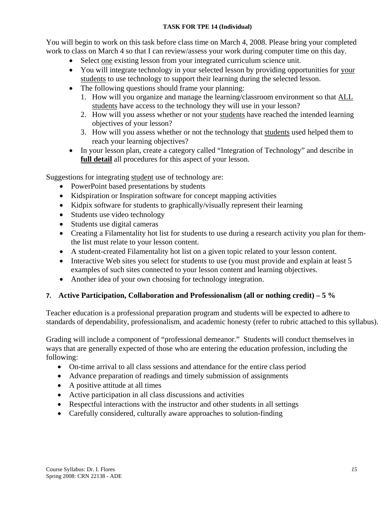### **TASK FOR TPE 14 (Individual)**

You will begin to work on this task before class time on March 4, 2008. Please bring your completed work to class on March 4 so that I can review/assess your work during computer time on this day.

- Select one existing lesson from your integrated curriculum science unit.
- You will integrate technology in your selected lesson by providing opportunities for your students to use technology to support their learning during the selected lesson.
- The following questions should frame your planning:
	- 1. How will you organize and manage the learning/classroom environment so that ALL students have access to the technology they will use in your lesson?
	- 2. How will you assess whether or not your students have reached the intended learning objectives of your lesson?
	- 3. How will you assess whether or not the technology that students used helped them to reach your learning objectives?
- In your lesson plan, create a category called "Integration of Technology" and describe in **full detail** all procedures for this aspect of your lesson.

Suggestions for integrating student use of technology are:

- PowerPoint based presentations by students
- Kidspiration or Inspiration software for concept mapping activities
- Kidpix software for students to graphically/visually represent their learning
- Students use video technology
- Students use digital cameras
- Creating a Filamentality hot list for students to use during a research activity you plan for themthe list must relate to your lesson content.
- A student-created Filamentality hot list on a given topic related to your lesson content.
- Interactive Web sites you select for students to use (you must provide and explain at least 5 examples of such sites connected to your lesson content and learning objectives.
- Another idea of your own choosing for technology integration.

## **7. Active Participation, Collaboration and Professionalism (all or nothing credit) – 5 %**

Teacher education is a professional preparation program and students will be expected to adhere to standards of dependability, professionalism, and academic honesty (refer to rubric attached to this syllabus).

Grading will include a component of "professional demeanor." Students will conduct themselves in ways that are generally expected of those who are entering the education profession, including the following:

- On-time arrival to all class sessions and attendance for the entire class period
- Advance preparation of readings and timely submission of assignments
- A positive attitude at all times
- Active participation in all class discussions and activities
- Respectful interactions with the instructor and other students in all settings
- Carefully considered, culturally aware approaches to solution-finding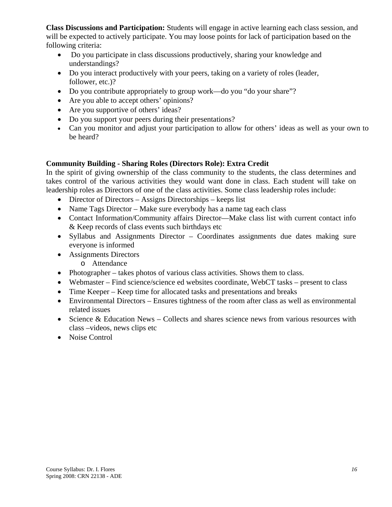**Class Discussions and Participation:** Students will engage in active learning each class session, and will be expected to actively participate. You may loose points for lack of participation based on the following criteria:

- Do you participate in class discussions productively, sharing your knowledge and understandings?
- Do you interact productively with your peers, taking on a variety of roles (leader, follower, etc.)?
- Do you contribute appropriately to group work—do you "do your share"?
- Are you able to accept others' opinions?
- Are you supportive of others' ideas?
- Do you support your peers during their presentations?
- Can you monitor and adjust your participation to allow for others' ideas as well as your own to be heard?

# **Community Building - Sharing Roles (Directors Role): Extra Credit**

In the spirit of giving ownership of the class community to the students, the class determines and takes control of the various activities they would want done in class. Each student will take on leadership roles as Directors of one of the class activities. Some class leadership roles include:

- Director of Directors Assigns Directorships keeps list
- Name Tags Director Make sure everybody has a name tag each class
- Contact Information/Community affairs Director—Make class list with current contact info & Keep records of class events such birthdays etc
- Syllabus and Assignments Director Coordinates assignments due dates making sure everyone is informed
- Assignments Directors
	- o Attendance
- Photographer takes photos of various class activities. Shows them to class.
- Webmaster Find science/science ed websites coordinate, WebCT tasks present to class
- Time Keeper Keep time for allocated tasks and presentations and breaks
- Environmental Directors Ensures tightness of the room after class as well as environmental related issues
- Science & Education News Collects and shares science news from various resources with class –videos, news clips etc
- Noise Control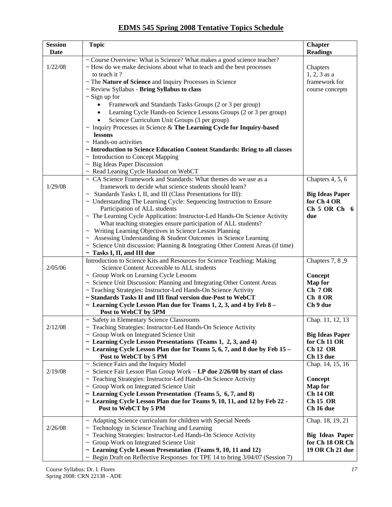## **EDMS 545 Spring 2008 Tentative Topics Schedule**

| <b>Session</b> | <b>Topic</b>                                                                                                                                                    | <b>Chapter</b>                |
|----------------|-----------------------------------------------------------------------------------------------------------------------------------------------------------------|-------------------------------|
| Date           |                                                                                                                                                                 | <b>Readings</b>               |
| 1/22/08        | ~ Course Overview: What is Science? What makes a good science teacher?<br>~ How do we make decisions about what to teach and the best processes<br>to teach it? | Chapters<br>$1, 2, 3$ as a    |
|                | ~ The Nature of Science and Inquiry Processes in Science                                                                                                        | framework for                 |
|                | ~ Review Syllabus - Bring Syllabus to class                                                                                                                     | course concepts               |
|                | $\sim$ Sign up for                                                                                                                                              |                               |
|                | Framework and Standards Tasks Groups (2 or 3 per group)                                                                                                         |                               |
|                | Learning Cycle Hands-on Science Lessons Groups (2 or 3 per group)                                                                                               |                               |
|                | Science Curriculum Unit Groups (3 per group)                                                                                                                    |                               |
|                | $\sim$ Inquiry Processes in Science & The Learning Cycle for Inquiry-based                                                                                      |                               |
|                | lessons<br>$\sim$ Hands-on activities                                                                                                                           |                               |
|                | ~ Introduction to Science Education Content Standards: Bring to all classes                                                                                     |                               |
|                | ~ Introduction to Concept Mapping                                                                                                                               |                               |
|                | $~\sim~$ Big Ideas Paper Discussion                                                                                                                             |                               |
|                | ~ Read Leaning Cycle Handout on WebCT                                                                                                                           |                               |
|                | ~ CA Science Framework and Standards: What themes do we use as a                                                                                                | Chapters 4, 5, 6              |
| 1/29/08        | framework to decide what science students should learn?                                                                                                         |                               |
|                | ~ Standards Tasks I, II, and III (Class Presentations for III):                                                                                                 | <b>Big Ideas Paper</b>        |
|                | ~ Understanding The Learning Cycle: Sequencing Instruction to Ensure                                                                                            | for Ch <sub>4</sub> OR        |
|                | Participation of ALL students                                                                                                                                   | Ch 5 OR Ch 6                  |
|                | ~ The Learning Cycle Application: Instructor-Led Hands-On Science Activity<br>What teaching strategies ensure participation of ALL students?                    | due                           |
|                | ~ Writing Learning Objectives in Science Lesson Planning                                                                                                        |                               |
|                | Assessing Understanding & Student Outcomes in Science Learning                                                                                                  |                               |
|                | $\sim$ Science Unit discussion: Planning & Integrating Other Content Areas (if time)                                                                            |                               |
|                | $\sim$ Tasks I, II, and III due                                                                                                                                 |                               |
|                | Introduction to Science Kits and Resources for Science Teaching: Making                                                                                         | Chapters 7, 8, 9              |
| 2/05/06        | Science Content Accessible to ALL students                                                                                                                      |                               |
|                | ~ Group Work on Learning Cycle Lessons                                                                                                                          | Concept                       |
|                | ~ Science Unit Discussion: Planning and Integrating Other Content Areas                                                                                         | <b>Map for</b>                |
|                | ~ Teaching Strategies: Instructor-Led Hands-On Science Activity<br>~ Standards Tasks II and III final version due-Post to WebCT                                 | Ch 7 OR<br>Ch 8 OR            |
|                | $\sim$ Learning Cycle Lesson Plan due for Teams 1, 2, 3, and 4 by Feb 8 -                                                                                       | Ch 9 due                      |
|                | Post to WebCT by 5PM                                                                                                                                            |                               |
|                | ~ Safety in Elementary Science Classrooms                                                                                                                       | Chap. 11, 12, 13              |
| 2/12/08        | - Teaching Strategies: Instructor-Led Hands-On Science Activity                                                                                                 |                               |
|                | ~ Group Work on Integrated Science Unit                                                                                                                         | <b>Big Ideas Paper</b>        |
|                | ~ Learning Cycle Lesson Presentations (Teams 1, 2, 3, and 4)                                                                                                    | for Ch 11 OR                  |
|                | $\sim$ Learning Cycle Lesson Plan due for Teams 5, 6, 7, and 8 due by Feb 15 –                                                                                  | <b>Ch 12 OR</b>               |
|                | Post to WebCT by 5 PM<br>$\sim$ Science Fairs and the Inquiry Model                                                                                             | Ch 13 due<br>Chap. 14, 15, 16 |
| 2/19/08        | $\sim$ Science Fair Lesson Plan Group Work - LP due 2/26/08 by start of class                                                                                   |                               |
|                | ~ Teaching Strategies: Instructor-Led Hands-On Science Activity                                                                                                 | Concept                       |
|                | ~ Group Work on Integrated Science Unit                                                                                                                         | <b>Map</b> for                |
|                | ~ Learning Cycle Lesson Presentation (Teams 5, 6, 7, and 8)                                                                                                     | <b>Ch 14 OR</b>               |
|                | ~ Learning Cycle Lesson Plan due for Teams 9, 10, 11, and 12 by Feb 22 -                                                                                        | <b>Ch 15 OR</b>               |
|                | Post to WebCT by 5 PM                                                                                                                                           | Ch 16 due                     |
|                | ~ Adapting Science curriculum for children with Special Needs                                                                                                   | Chap. 18, 19, 21              |
| 2/26/08        | $\sim$ Technology in Science Teaching and Learning                                                                                                              |                               |
|                | ~ Teaching Strategies: Instructor-Led Hands-On Science Activity                                                                                                 | <b>Big Ideas Paper</b>        |
|                | ~ Group Work on Integrated Science Unit                                                                                                                         | for Ch 18 OR Ch               |
|                | ~ Learning Cycle Lesson Presentation (Teams 9, 10, 11 and 12)                                                                                                   | 19 OR Ch 21 due               |
|                | ~ Begin Draft on Reflective Responses for TPE 14 to bring $3/04/07$ (Session 7)                                                                                 |                               |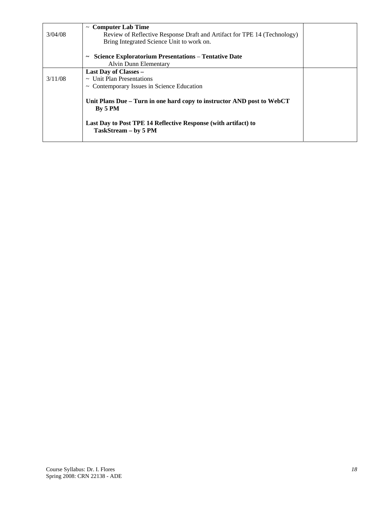|         | $\sim$ Computer Lab Time                                                               |  |
|---------|----------------------------------------------------------------------------------------|--|
| 3/04/08 | Review of Reflective Response Draft and Artifact for TPE 14 (Technology)               |  |
|         | Bring Integrated Science Unit to work on.                                              |  |
|         |                                                                                        |  |
|         | <b>Science Exploratorium Presentations - Tentative Date</b><br>$\tilde{\phantom{a}}$   |  |
|         | Alvin Dunn Elementary                                                                  |  |
|         | Last Day of Classes –                                                                  |  |
| 3/11/08 | $\sim$ Unit Plan Presentations                                                         |  |
|         | $\sim$ Contemporary Issues in Science Education                                        |  |
|         | Unit Plans Due – Turn in one hard copy to instructor AND post to WebCT<br>By 5 PM      |  |
|         | Last Day to Post TPE 14 Reflective Response (with artifact) to<br>TaskStream - by 5 PM |  |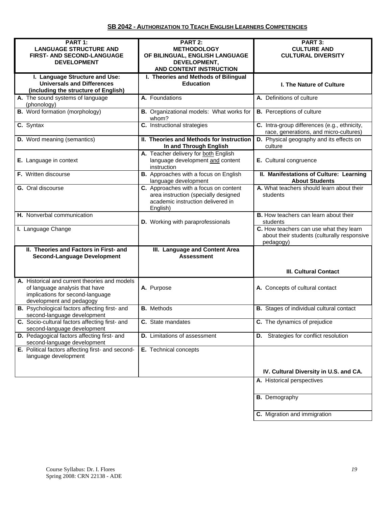| PART 1:                                           | PART 2:                                  | PART 3:                                         |
|---------------------------------------------------|------------------------------------------|-------------------------------------------------|
| <b>LANGUAGE STRUCTURE AND</b>                     | <b>METHODOLOGY</b>                       | <b>CULTURE AND</b>                              |
| FIRST- AND SECOND-LANGUAGE                        | OF BILINGUAL, ENGLISH LANGUAGE           | <b>CULTURAL DIVERSITY</b>                       |
|                                                   |                                          |                                                 |
| <b>DEVELOPMENT</b>                                | DEVELOPMENT,                             |                                                 |
|                                                   | AND CONTENT INSTRUCTION                  |                                                 |
| I. Language Structure and Use:                    | I. Theories and Methods of Bilingual     |                                                 |
| <b>Universals and Differences</b>                 | <b>Education</b>                         | <b>I. The Nature of Culture</b>                 |
| (including the structure of English)              |                                          |                                                 |
|                                                   |                                          |                                                 |
| A. The sound systems of language                  | A. Foundations                           | A. Definitions of culture                       |
| (phonology)                                       |                                          |                                                 |
| <b>B.</b> Word formation (morphology)             | B. Organizational models: What works for | <b>B.</b> Perceptions of culture                |
|                                                   | whom?                                    |                                                 |
| C. Syntax                                         | C. Instructional strategies              | C. Intra-group differences (e.g., ethnicity,    |
|                                                   |                                          |                                                 |
|                                                   |                                          | race, generations, and micro-cultures)          |
| <b>D.</b> Word meaning (semantics)                | II. Theories and Methods for Instruction | D. Physical geography and its effects on        |
|                                                   | In and Through English                   | culture                                         |
|                                                   | A. Teacher delivery for both English     |                                                 |
| E. Language in context                            | language development and content         | E. Cultural congruence                          |
|                                                   |                                          |                                                 |
|                                                   | instruction                              |                                                 |
| F. Written discourse                              | B. Approaches with a focus on English    | II. Manifestations of Culture: Learning         |
|                                                   | language development                     | <b>About Students</b>                           |
| G. Oral discourse                                 | C. Approaches with a focus on content    | A. What teachers should learn about their       |
|                                                   | area instruction (specially designed     | students                                        |
|                                                   |                                          |                                                 |
|                                                   | academic instruction delivered in        |                                                 |
|                                                   | English)                                 |                                                 |
| H. Nonverbal communication                        |                                          | <b>B.</b> How teachers can learn about their    |
|                                                   | D. Working with paraprofessionals        | students                                        |
| I. Language Change                                |                                          | C. How teachers can use what they learn         |
|                                                   |                                          | about their students (culturally responsive     |
|                                                   |                                          |                                                 |
|                                                   |                                          |                                                 |
|                                                   |                                          | pedagogy)                                       |
| II. Theories and Factors in First- and            | III. Language and Content Area           |                                                 |
| <b>Second-Language Development</b>                | <b>Assessment</b>                        |                                                 |
|                                                   |                                          |                                                 |
|                                                   |                                          |                                                 |
|                                                   |                                          | <b>III. Cultural Contact</b>                    |
| A. Historical and current theories and models     |                                          |                                                 |
|                                                   |                                          |                                                 |
| of language analysis that have                    | A. Purpose                               | A. Concepts of cultural contact                 |
| implications for second-language                  |                                          |                                                 |
| development and pedagogy                          |                                          |                                                 |
| B. Psychological factors affecting first- and     | <b>B.</b> Methods                        | <b>B.</b> Stages of individual cultural contact |
| second-language development                       |                                          |                                                 |
|                                                   |                                          |                                                 |
| C. Socio-cultural factors affecting first- and    | C. State mandates                        | C. The dynamics of prejudice                    |
| second-language development                       |                                          |                                                 |
| D. Pedagogical factors affecting first- and       | <b>D.</b> Limitations of assessment      | <b>D.</b> Strategies for conflict resolution    |
| second-language development                       |                                          |                                                 |
| E. Political factors affecting first- and second- | E. Technical concepts                    |                                                 |
| language development                              |                                          |                                                 |
|                                                   |                                          |                                                 |
|                                                   |                                          |                                                 |
|                                                   |                                          | IV. Cultural Diversity in U.S. and CA.          |
|                                                   |                                          | A. Historical perspectives                      |
|                                                   |                                          |                                                 |
|                                                   |                                          |                                                 |
|                                                   |                                          | <b>B.</b> Demography                            |
|                                                   |                                          |                                                 |
|                                                   |                                          |                                                 |
|                                                   |                                          | C. Migration and immigration                    |